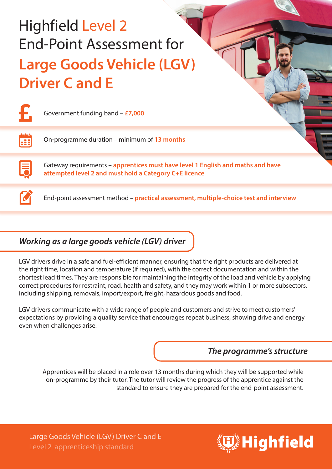# Highfield Level 2 End-Point Assessment for **Large Goods Vehicle (LGV) Driver C and E**



Government funding band – **£7,000**

On-programme duration – minimum of **13 months**



Gateway requirements – **apprentices must have level 1 English and maths and have attempted level 2 and must hold a Category C+E licence** 

End-point assessment method – **practical assessment, multiple-choice test and interview**

## *Working as a large goods vehicle (LGV) driver*

LGV drivers drive in a safe and fuel-efficient manner, ensuring that the right products are delivered at the right time, location and temperature (if required), with the correct documentation and within the shortest lead times. They are responsible for maintaining the integrity of the load and vehicle by applying correct procedures for restraint, road, health and safety, and they may work within 1 or more subsectors, including shipping, removals, import/export, freight, hazardous goods and food.

LGV drivers communicate with a wide range of people and customers and strive to meet customers' expectations by providing a quality service that encourages repeat business, showing drive and energy even when challenges arise.

*The programme's structure*

Apprentices will be placed in a role over 13 months during which they will be supported while on-programme by their tutor. The tutor will review the progress of the apprentice against the standard to ensure they are prepared for the end-point assessment.

Level 2apprenticeship standard Large Goods Vehicle (LGV) Driver C and E